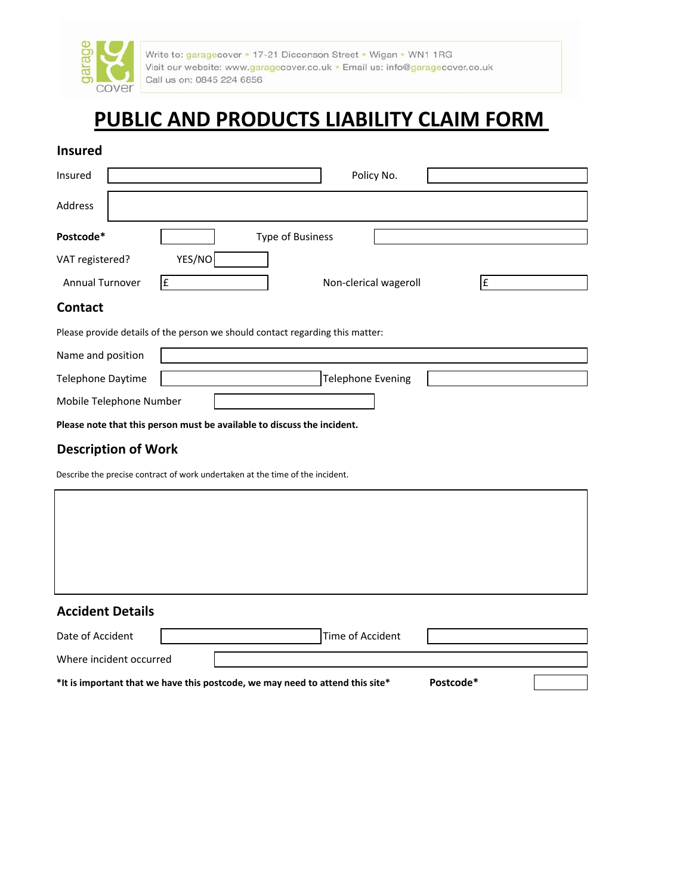

Write to: garagecover . 17-21 Dicconson Street . Wigan . WN1 1RG Visit our website: www.garagecover.co.uk · Email us: info@garagecover.co.uk Call us on: 0845 224 6856

# **PUBLIC AND PRODUCTS LIABILITY CLAIM FORM**

### **Insured**

| Insured                                                                       | Policy No.                                                              |  |  |  |
|-------------------------------------------------------------------------------|-------------------------------------------------------------------------|--|--|--|
| Address                                                                       |                                                                         |  |  |  |
| Postcode*                                                                     | Type of Business                                                        |  |  |  |
| VAT registered?                                                               | YES/NO                                                                  |  |  |  |
| <b>Annual Turnover</b>                                                        | £<br>Non-clerical wageroll<br>£                                         |  |  |  |
| <b>Contact</b>                                                                |                                                                         |  |  |  |
| Please provide details of the person we should contact regarding this matter: |                                                                         |  |  |  |
| Name and position                                                             |                                                                         |  |  |  |
| <b>Telephone Daytime</b>                                                      | <b>Telephone Evening</b>                                                |  |  |  |
| Mobile Telephone Number                                                       |                                                                         |  |  |  |
|                                                                               | Please note that this person must be available to discuss the incident. |  |  |  |

# **Description of Work**

Where incident occurred

Describe the precise contract of work undertaken at the time of the incident.

| <b>Accident Details</b> |                  |  |
|-------------------------|------------------|--|
| Date of Accident        | Time of Accident |  |

**\*It is important that we have this postcode, we may need to attend this site\* Postcode\***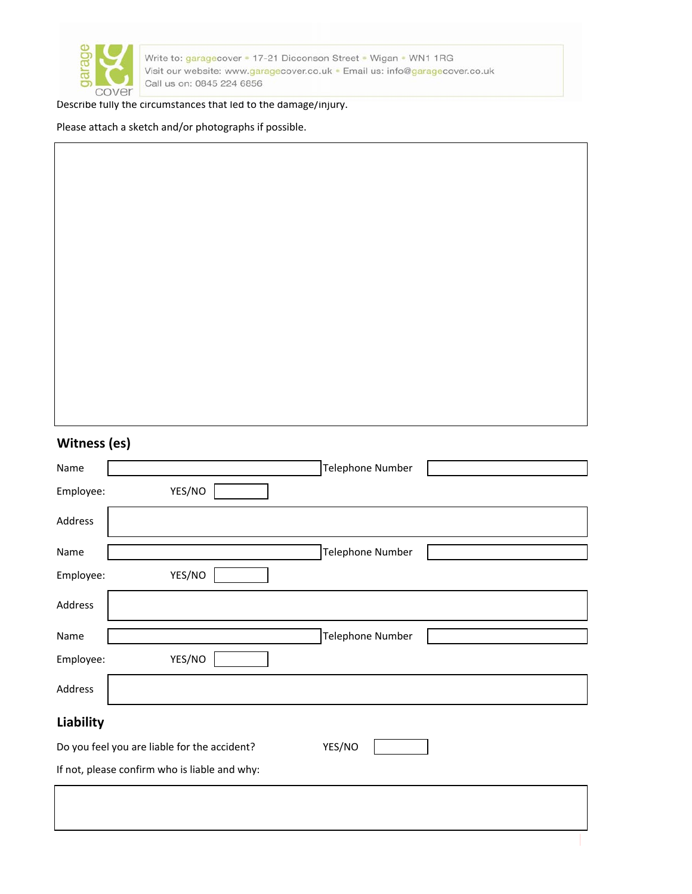

Write to: garagecover . 17-21 Dicconson Street . Wigan . WN1 1RG Visit our website: www.garagecover.co.uk . Email us: info@garagecover.co.uk Call us on: 0845 224 6856

#### Describe fully the circumstances that led to the damage/injury.

Please attach a sketch and/or photographs if possible.

| VUUIE35(E5)                                   |                  |
|-----------------------------------------------|------------------|
| Name                                          | Telephone Number |
| YES/NO<br>Employee:                           |                  |
| Address                                       |                  |
| Name                                          | Telephone Number |
| YES/NO<br>Employee:                           |                  |
| Address                                       |                  |
| Name                                          | Telephone Number |
| YES/NO<br>Employee:                           |                  |
| Address                                       |                  |
| <b>Liability</b>                              |                  |
| Do you feel you are liable for the accident?  | YES/NO           |
| If not, please confirm who is liable and why: |                  |
|                                               |                  |
|                                               |                  |